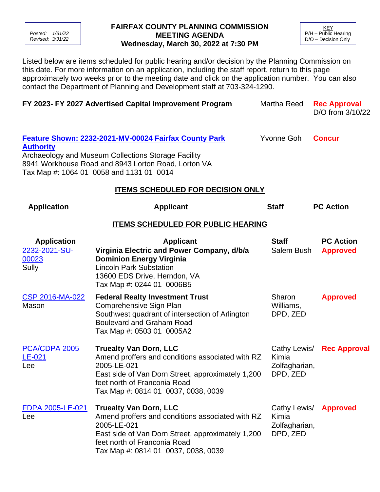*Posted: 1/31/22 Revised: 3/31/22*

## **FAIRFAX COUNTY PLANNING COMMISSION MEETING AGENDA Wednesday, March 30, 2022 at 7:30 PM**

**KEY** P/H – Public Hearing D/O – Decision Only

Listed below are items scheduled for public hearing and/or decision by the Planning Commission on this date. For more information on an application, including the staff report, return to this page approximately two weeks prior to the meeting date and click on the application number. You can also contact the Department of Planning and Development staff at 703-324-1290.

| FY 2023- FY 2027 Advertised Capital Improvement Program                                                                                                                                                                                                                   |                                                                                                                                                                                                                                       | Martha Reed                                        | <b>Rec Approval</b><br>D/O from 3/10/22 |  |  |  |
|---------------------------------------------------------------------------------------------------------------------------------------------------------------------------------------------------------------------------------------------------------------------------|---------------------------------------------------------------------------------------------------------------------------------------------------------------------------------------------------------------------------------------|----------------------------------------------------|-----------------------------------------|--|--|--|
| Yvonne Goh<br><b>Feature Shown: 2232-2021-MV-00024 Fairfax County Park</b><br><b>Concur</b><br><b>Authority</b><br>Archaeology and Museum Collections Storage Facility<br>8941 Workhouse Road and 8943 Lorton Road, Lorton VA<br>Tax Map #: 1064 01 0058 and 1131 01 0014 |                                                                                                                                                                                                                                       |                                                    |                                         |  |  |  |
| <b>ITEMS SCHEDULED FOR DECISION ONLY</b>                                                                                                                                                                                                                                  |                                                                                                                                                                                                                                       |                                                    |                                         |  |  |  |
| <b>PC Action</b><br><b>Application</b><br><b>Applicant</b><br><b>Staff</b><br><b>ITEMS SCHEDULED FOR PUBLIC HEARING</b>                                                                                                                                                   |                                                                                                                                                                                                                                       |                                                    |                                         |  |  |  |
| <b>Application</b>                                                                                                                                                                                                                                                        | <b>Applicant</b>                                                                                                                                                                                                                      | <b>Staff</b>                                       | <b>PC Action</b>                        |  |  |  |
| 2232-2021-SU-<br>00023<br>Sully                                                                                                                                                                                                                                           | Virginia Electric and Power Company, d/b/a<br><b>Dominion Energy Virginia</b><br><b>Lincoln Park Substation</b><br>13600 EDS Drive, Herndon, VA<br>Tax Map #: 0244 01 0006B5                                                          | Salem Bush                                         | <b>Approved</b>                         |  |  |  |
| CSP 2016-MA-022<br>Mason                                                                                                                                                                                                                                                  | <b>Federal Realty Investment Trust</b><br>Comprehensive Sign Plan<br>Southwest quadrant of intersection of Arlington<br><b>Boulevard and Graham Road</b><br>Tax Map #: 0503 01 0005A2                                                 | Sharon<br>Williams,<br>DPD, ZED                    | <b>Approved</b>                         |  |  |  |
| PCA/CDPA 2005-<br>LE-021<br>Lee                                                                                                                                                                                                                                           | <b>Truealty Van Dorn, LLC</b><br>Amend proffers and conditions associated with RZ<br>2005-LE-021<br>East side of Van Dorn Street, approximately 1,200 DPD, ZED<br>feet north of Franconia Road<br>Tax Map #: 0814 01 0037, 0038, 0039 | Cathy Lewis/<br>Kimia<br>Zolfagharian,             | <b>Rec Approval</b>                     |  |  |  |
| FDPA 2005-LE-021<br>Lee                                                                                                                                                                                                                                                   | <b>Truealty Van Dorn, LLC</b><br>Amend proffers and conditions associated with RZ<br>2005-LE-021<br>East side of Van Dorn Street, approximately 1,200<br>feet north of Franconia Road<br>Tax Map #: 0814 01 0037, 0038, 0039          | Cathy Lewis/<br>Kimia<br>Zolfagharian,<br>DPD, ZED | <b>Approved</b>                         |  |  |  |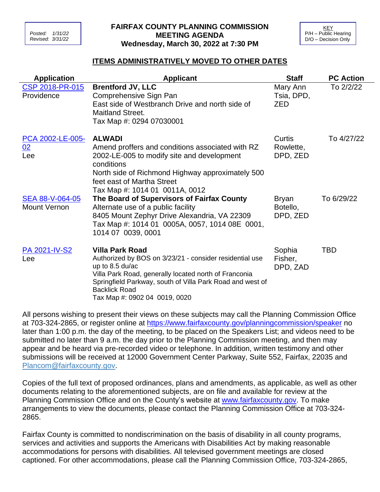## **FAIRFAX COUNTY PLANNING COMMISSION MEETING AGENDA Wednesday, March 30, 2022 at 7:30 PM**

| KEY                  |  |  |  |
|----------------------|--|--|--|
| P/H - Public Hearing |  |  |  |
| D/O - Decision Only  |  |  |  |

## **ITEMS ADMINISTRATIVELY MOVED TO OTHER DATES**

| <b>Application</b>                     | <b>Applicant</b>                                                                                                                                                                                                                                                                    | <b>Staff</b>                         | <b>PC Action</b> |
|----------------------------------------|-------------------------------------------------------------------------------------------------------------------------------------------------------------------------------------------------------------------------------------------------------------------------------------|--------------------------------------|------------------|
| CSP 2018-PR-015<br>Providence          | <b>Brentford JV, LLC</b><br>Comprehensive Sign Pan<br>East side of Westbranch Drive and north side of<br><b>Maitland Street.</b><br>Tax Map #: 0294 07030001                                                                                                                        | Mary Ann<br>Tsia, DPD,<br><b>ZED</b> | To 2/2/22        |
| PCA 2002-LE-005-<br>02<br>Lee          | <b>ALWADI</b><br>Amend proffers and conditions associated with RZ<br>2002-LE-005 to modify site and development<br>conditions<br>North side of Richmond Highway approximately 500<br>feet east of Martha Street<br>Tax Map #: 1014 01 0011A, 0012                                   | Curtis<br>Rowlette,<br>DPD, ZED      | To 4/27/22       |
| SEA 88-V-064-05<br><b>Mount Vernon</b> | The Board of Supervisors of Fairfax County<br>Alternate use of a public facility<br>8405 Mount Zephyr Drive Alexandria, VA 22309<br>Tax Map #: 1014 01 0005A, 0057, 1014 08E 0001,<br>1014 07 0039, 0001                                                                            | Bryan<br>Botello,<br>DPD, ZED        | To 6/29/22       |
| PA 2021-IV-S2<br>Lee                   | <b>Villa Park Road</b><br>Authorized by BOS on 3/23/21 - consider residential use<br>up to 8.5 du/ac<br>Villa Park Road, generally located north of Franconia<br>Springfield Parkway, south of Villa Park Road and west of<br><b>Backlick Road</b><br>Tax Map #: 0902 04 0019, 0020 | Sophia<br>Fisher,<br>DPD, ZAD        | <b>TBD</b>       |

All persons wishing to present their views on these subjects may call the Planning Commission Office at 703-324-2865, or register online at <https://www.fairfaxcounty.gov/planningcommission/speaker> no later than 1:00 p.m. the day of the meeting, to be placed on the Speakers List; and videos need to be submitted no later than 9 a.m. the day prior to the Planning Commission meeting, and then may appear and be heard via pre-recorded video or telephone. In addition, written testimony and other submissions will be received at 12000 Government Center Parkway, Suite 552, Fairfax, 22035 and [Plancom@fairfaxcounty.gov.](mailto:Plancom@fairfaxcounty.gov)

Copies of the full text of proposed ordinances, plans and amendments, as applicable, as well as other documents relating to the aforementioned subjects, are on file and available for review at the Planning Commission Office and on the County's website at [www.fairfaxcounty.gov.](http://www.fairfaxcounty.gov/) To make arrangements to view the documents, please contact the Planning Commission Office at 703-324- 2865.

Fairfax County is committed to nondiscrimination on the basis of disability in all county programs, services and activities and supports the Americans with Disabilities Act by making reasonable accommodations for persons with disabilities. All televised government meetings are closed captioned. For other accommodations, please call the Planning Commission Office, 703-324-2865,